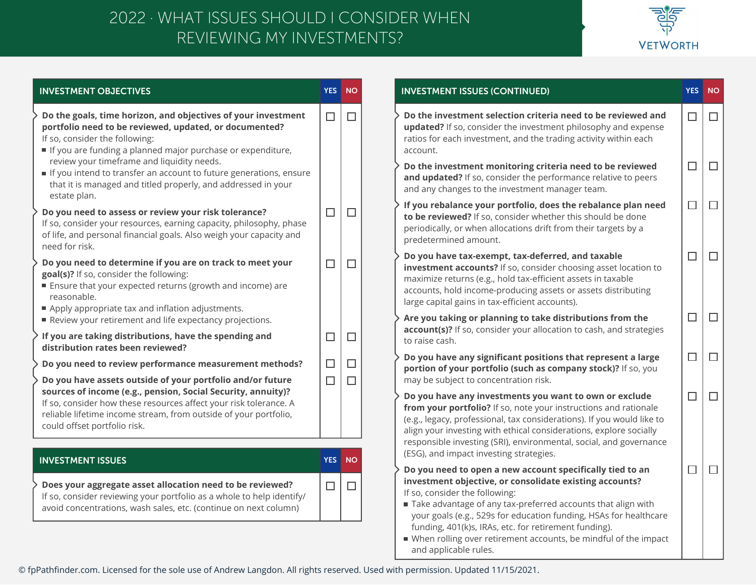## REVIEWING MY INVESTMENTS? 2022 · WHAT ISSUES SHOULD I CONSIDER WHEN



| <b>INVESTMENT OBJECTIVES</b>                                                                                                                                                                                                                                                                                                                 | <b>YES</b> | <b>NO</b> | <b>INVESTMENT ISSUES (CONTINUED)</b>                                                                                                                                                                                                                                                                                                                                                                                                               | <b>YES</b>       | <b>NO</b>        |
|----------------------------------------------------------------------------------------------------------------------------------------------------------------------------------------------------------------------------------------------------------------------------------------------------------------------------------------------|------------|-----------|----------------------------------------------------------------------------------------------------------------------------------------------------------------------------------------------------------------------------------------------------------------------------------------------------------------------------------------------------------------------------------------------------------------------------------------------------|------------------|------------------|
| Do the goals, time horizon, and objectives of your investment<br>portfolio need to be reviewed, updated, or documented?<br>If so, consider the following:<br>If you are funding a planned major purchase or expenditure,<br>review your timeframe and liquidity needs.<br>If you intend to transfer an account to future generations, ensure | $\Box$     | $\Box$    | Do the investment selection criteria need to be reviewed and<br>updated? If so, consider the investment philosophy and expense<br>ratios for each investment, and the trading activity within each<br>account.<br>Do the investment monitoring criteria need to be reviewed                                                                                                                                                                        | $\Box$<br>$\Box$ | $\Box$<br>$\Box$ |
| that it is managed and titled properly, and addressed in your<br>estate plan.                                                                                                                                                                                                                                                                |            |           | and updated? If so, consider the performance relative to peers<br>and any changes to the investment manager team.                                                                                                                                                                                                                                                                                                                                  |                  |                  |
| Do you need to assess or review your risk tolerance?<br>If so, consider your resources, earning capacity, philosophy, phase<br>of life, and personal financial goals. Also weigh your capacity and<br>need for risk.                                                                                                                         | $\Box$     | $\Box$    | If you rebalance your portfolio, does the rebalance plan need<br>to be reviewed? If so, consider whether this should be done<br>periodically, or when allocations drift from their targets by a<br>predetermined amount.                                                                                                                                                                                                                           | $\Box$           | $\Box$           |
| Do you need to determine if you are on track to meet your<br>goal(s)? If so, consider the following:<br>■ Ensure that your expected returns (growth and income) are<br>reasonable.<br>Apply appropriate tax and inflation adjustments.                                                                                                       | $\Box$     | $\Box$    | Do you have tax-exempt, tax-deferred, and taxable<br>investment accounts? If so, consider choosing asset location to<br>maximize returns (e.g., hold tax-efficient assets in taxable<br>accounts, hold income-producing assets or assets distributing<br>large capital gains in tax-efficient accounts).                                                                                                                                           | $\Box$           | $\Box$           |
| Review your retirement and life expectancy projections.                                                                                                                                                                                                                                                                                      |            |           | Are you taking or planning to take distributions from the<br>account(s)? If so, consider your allocation to cash, and strategies                                                                                                                                                                                                                                                                                                                   | $\Box$           | $\Box$           |
| If you are taking distributions, have the spending and<br>distribution rates been reviewed?                                                                                                                                                                                                                                                  | $\Box$     | $\Box$    | to raise cash.                                                                                                                                                                                                                                                                                                                                                                                                                                     |                  |                  |
| Do you need to review performance measurement methods?                                                                                                                                                                                                                                                                                       | $\Box$     | $\Box$    | Do you have any significant positions that represent a large<br>portion of your portfolio (such as company stock)? If so, you                                                                                                                                                                                                                                                                                                                      | $\Box$           | $\Box$           |
| Do you have assets outside of your portfolio and/or future<br>sources of income (e.g., pension, Social Security, annuity)?                                                                                                                                                                                                                   | $\Box$     | П         | may be subject to concentration risk.                                                                                                                                                                                                                                                                                                                                                                                                              |                  |                  |
| If so, consider how these resources affect your risk tolerance. A<br>reliable lifetime income stream, from outside of your portfolio,<br>could offset portfolio risk.                                                                                                                                                                        |            |           | Do you have any investments you want to own or exclude<br>from your portfolio? If so, note your instructions and rationale<br>(e.g., legacy, professional, tax considerations). If you would like to<br>align your investing with ethical considerations, explore socially                                                                                                                                                                         | $\Box$           | $\Box$           |
| <b>INVESTMENT ISSUES</b>                                                                                                                                                                                                                                                                                                                     | <b>YES</b> | <b>NO</b> | responsible investing (SRI), environmental, social, and governance<br>(ESG), and impact investing strategies.                                                                                                                                                                                                                                                                                                                                      |                  |                  |
| Does your aggregate asset allocation need to be reviewed?<br>If so, consider reviewing your portfolio as a whole to help identify/<br>avoid concentrations, wash sales, etc. (continue on next column)                                                                                                                                       | $\Box$     | $\Box$    | Do you need to open a new account specifically tied to an<br>investment objective, or consolidate existing accounts?<br>If so, consider the following:<br>Take advantage of any tax-preferred accounts that align with<br>your goals (e.g., 529s for education funding, HSAs for healthcare<br>funding, 401(k)s, IRAs, etc. for retirement funding).<br>■ When rolling over retirement accounts, be mindful of the impact<br>and applicable rules. | $\Box$           | $\Box$           |

© fpPathfinder.com. Licensed for the sole use of Andrew Langdon. All rights reserved. Used with permission. Updated 11/15/2021.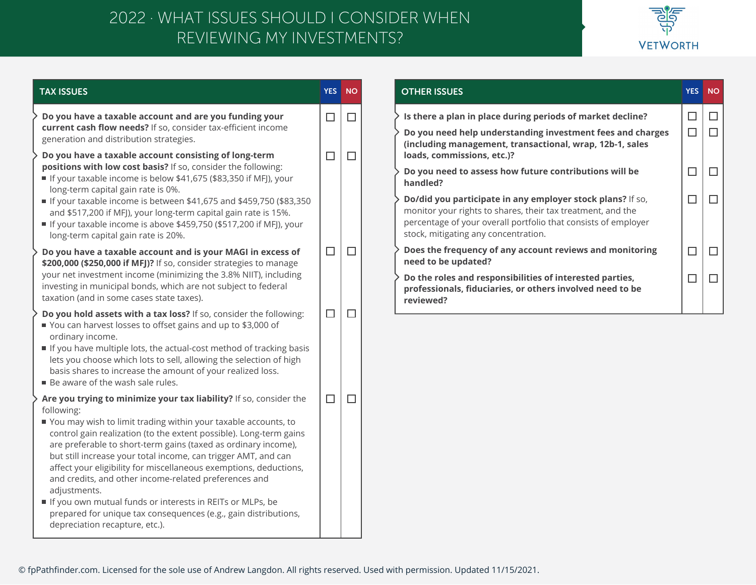## REVIEWING MY INVESTMENTS? 2022 · WHAT ISSUES SHOULD I CONSIDER WHEN



| <b>TAX ISSUES</b>                                                                                                                                                                                                                                                                                                                                                                                                                                                                                                                                                                                                                            | <b>YES</b>  | <b>NO</b>        | <b>OTHER ISSUES</b>                                                                                                                                                                                                |  |
|----------------------------------------------------------------------------------------------------------------------------------------------------------------------------------------------------------------------------------------------------------------------------------------------------------------------------------------------------------------------------------------------------------------------------------------------------------------------------------------------------------------------------------------------------------------------------------------------------------------------------------------------|-------------|------------------|--------------------------------------------------------------------------------------------------------------------------------------------------------------------------------------------------------------------|--|
| Do you have a taxable account and are you funding your<br>current cash flow needs? If so, consider tax-efficient income<br>generation and distribution strategies.<br>Do you have a taxable account consisting of long-term                                                                                                                                                                                                                                                                                                                                                                                                                  | $\Box$<br>□ | $\Box$<br>$\Box$ | Is there a plan in place during periods of market decline?<br>Do you need help understanding investment fees and charges<br>(including management, transactional, wrap, 12b-1, sales<br>loads, commissions, etc.)? |  |
| positions with low cost basis? If so, consider the following:<br>If your taxable income is below \$41,675 (\$83,350 if MFJ), your<br>long-term capital gain rate is 0%.<br>If your taxable income is between \$41,675 and \$459,750 (\$83,350                                                                                                                                                                                                                                                                                                                                                                                                |             |                  | Do you need to assess how future contributions will be<br>handled?<br>Do/did you participate in any employer stock plans? If so,                                                                                   |  |
| and \$517,200 if MFJ), your long-term capital gain rate is 15%.<br>If your taxable income is above \$459,750 (\$517,200 if MFJ), your<br>long-term capital gain rate is 20%.                                                                                                                                                                                                                                                                                                                                                                                                                                                                 |             |                  | monitor your rights to shares, their tax treatment, and the<br>percentage of your overall portfolio that consists of employer<br>stock, mitigating any concentration.                                              |  |
| Do you have a taxable account and is your MAGI in excess of<br>\$200,000 (\$250,000 if MFJ)? If so, consider strategies to manage<br>your net investment income (minimizing the 3.8% NIIT), including                                                                                                                                                                                                                                                                                                                                                                                                                                        | $\Box$      | $\Box$           | Does the frequency of any account reviews and monitoring<br>need to be updated?<br>Do the roles and responsibilities of interested parties,                                                                        |  |
| investing in municipal bonds, which are not subject to federal<br>taxation (and in some cases state taxes).                                                                                                                                                                                                                                                                                                                                                                                                                                                                                                                                  |             |                  | professionals, fiduciaries, or others involved need to be<br>reviewed?                                                                                                                                             |  |
| Do you hold assets with a tax loss? If so, consider the following:<br>■ You can harvest losses to offset gains and up to \$3,000 of<br>ordinary income.<br>If you have multiple lots, the actual-cost method of tracking basis<br>lets you choose which lots to sell, allowing the selection of high<br>basis shares to increase the amount of your realized loss.<br>■ Be aware of the wash sale rules.                                                                                                                                                                                                                                     | $\Box$      | $\Box$           |                                                                                                                                                                                                                    |  |
| Are you trying to minimize your tax liability? If so, consider the<br>following:<br>■ You may wish to limit trading within your taxable accounts, to<br>control gain realization (to the extent possible). Long-term gains<br>are preferable to short-term gains (taxed as ordinary income),<br>but still increase your total income, can trigger AMT, and can<br>affect your eligibility for miscellaneous exemptions, deductions,<br>and credits, and other income-related preferences and<br>adjustments.<br>If you own mutual funds or interests in REITs or MLPs, be<br>prepared for unique tax consequences (e.g., gain distributions, | $\Box$      | $\Box$           |                                                                                                                                                                                                                    |  |